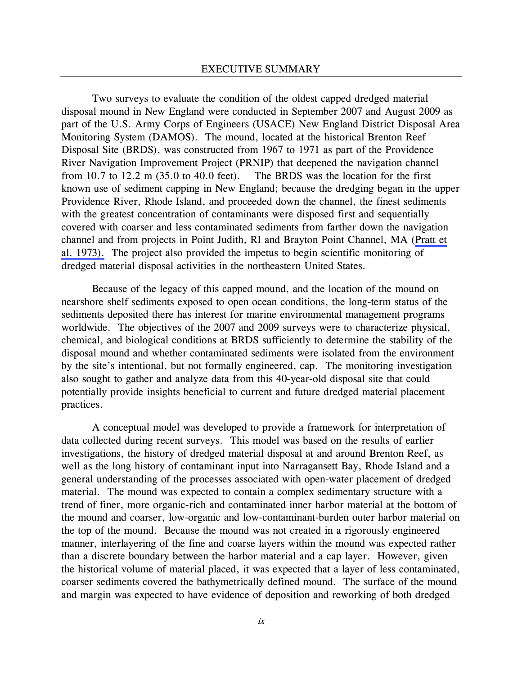Two surveys to evaluate the condition of the oldest capped dredged material disposal mound in New England were conducted in September 2007 and August 2009 as part of the U.S. Army Corps of Engineers (USACE) New England District Disposal Area Monitoring System (DAMOS). The mound, located at the historical Brenton Reef Disposal Site (BRDS), was constructed from 1967 to 1971 as part of the Providence River Navigation Improvement Project (PRNIP) that deepened the navigation channel from 10.7 to 12.2 m (35.0 to 40.0 feet). The BRDS was the location for the first known use of sediment capping in New England; because the dredging began in the upper Providence River, Rhode Island, and proceeded down the channel, the finest sediments with the greatest concentration of contaminants were disposed first and sequentially covered with coarser and less contaminated sediments from farther down the navigation channel and from projects in Point Judith, RI and Brayton Point Channel, MA (Pratt et al. 1973). The project also provided the impetus to begin scientific monitoring of dredged material disposal activities in the northeastern United States.

Because of the legacy of this capped mound, and the location of the mound on nearshore shelf sediments exposed to open ocean conditions, the long-term status of the sediments deposited there has interest for marine environmental management programs worldwide. The objectives of the 2007 and 2009 surveys were to characterize physical, chemical, and biological conditions at BRDS sufficiently to determine the stability of the disposal mound and whether contaminated sediments were isolated from the environment by the site's intentional, but not formally engineered, cap. The monitoring investigation also sought to gather and analyze data from this 40-year-old disposal site that could potentially provide insights beneficial to current and future dredged material placement practices.

A conceptual model was developed to provide a framework for interpretation of data collected during recent surveys. This model was based on the results of earlier investigations, the history of dredged material disposal at and around Brenton Reef, as well as the long history of contaminant input into Narragansett Bay, Rhode Island and a general understanding of the processes associated with open-water placement of dredged material. The mound was expected to contain a complex sedimentary structure with a trend of finer, more organic-rich and contaminated inner harbor material at the bottom of the mound and coarser, low-organic and low-contaminant-burden outer harbor material on the top of the mound. Because the mound was not created in a rigorously engineered manner, interlayering of the fine and coarse layers within the mound was expected rather than a discrete boundary between the harbor material and a cap layer. However, given the historical volume of material placed, it was expected that a layer of less contaminated, coarser sediments covered the bathymetrically defined mound. The surface of the mound and margin was expected to have evidence of deposition and reworking of both dredged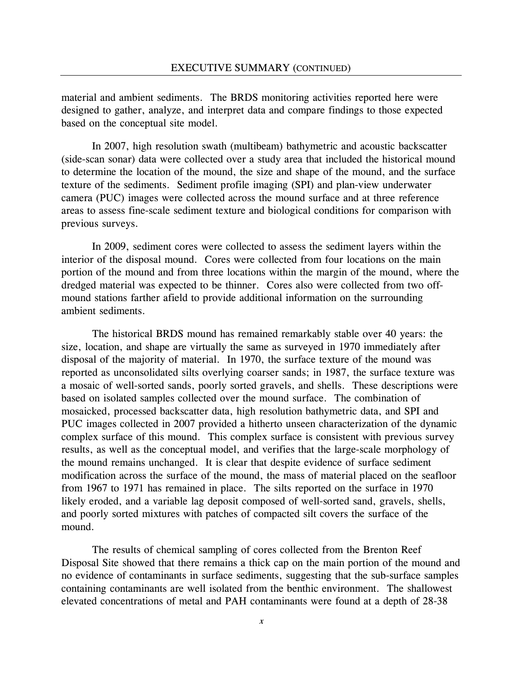material and ambient sediments. The BRDS monitoring activities reported here were designed to gather, analyze, and interpret data and compare findings to those expected based on the conceptual site model.

In 2007, high resolution swath (multibeam) bathymetric and acoustic backscatter (side-scan sonar) data were collected over a study area that included the historical mound to determine the location of the mound, the size and shape of the mound, and the surface texture of the sediments. Sediment profile imaging (SPI) and plan-view underwater camera (PUC) images were collected across the mound surface and at three reference areas to assess fine-scale sediment texture and biological conditions for comparison with previous surveys.

In 2009, sediment cores were collected to assess the sediment layers within the interior of the disposal mound. Cores were collected from four locations on the main portion of the mound and from three locations within the margin of the mound, where the dredged material was expected to be thinner. Cores also were collected from two offmound stations farther afield to provide additional information on the surrounding ambient sediments.

The historical BRDS mound has remained remarkably stable over 40 years: the size, location, and shape are virtually the same as surveyed in 1970 immediately after disposal of the majority of material. In 1970, the surface texture of the mound was reported as unconsolidated silts overlying coarser sands; in 1987, the surface texture was a mosaic of well-sorted sands, poorly sorted gravels, and shells. These descriptions were based on isolated samples collected over the mound surface. The combination of mosaicked, processed backscatter data, high resolution bathymetric data, and SPI and PUC images collected in 2007 provided a hitherto unseen characterization of the dynamic complex surface of this mound. This complex surface is consistent with previous survey results, as well as the conceptual model, and verifies that the large-scale morphology of the mound remains unchanged. It is clear that despite evidence of surface sediment modification across the surface of the mound, the mass of material placed on the seafloor from 1967 to 1971 has remained in place. The silts reported on the surface in 1970 likely eroded, and a variable lag deposit composed of well-sorted sand, gravels, shells, and poorly sorted mixtures with patches of compacted silt covers the surface of the mound.

The results of chemical sampling of cores collected from the Brenton Reef Disposal Site showed that there remains a thick cap on the main portion of the mound and no evidence of contaminants in surface sediments, suggesting that the sub-surface samples containing contaminants are well isolated from the benthic environment. The shallowest elevated concentrations of metal and PAH contaminants were found at a depth of 28-38